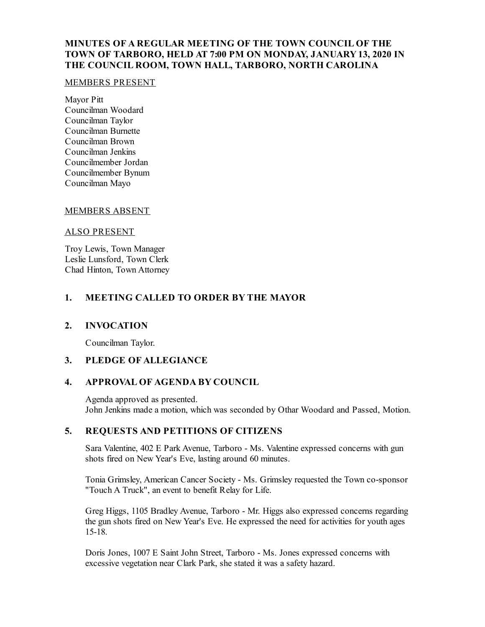# **MINUTES OF A REGULAR MEETING OF THE TOWN COUNCIL OF THE TOWN OF TARBORO, HELD AT 7:00 PM ON MONDAY, JANUARY13, 2020 IN THE COUNCIL ROOM, TOWN HALL, TARBORO, NORTH CAROLINA**

#### MEMBERS PRESENT

Mayor Pitt Councilman Woodard Councilman Taylor Councilman Burnette Councilman Brown Councilman Jenkins Councilmember Jordan Councilmember Bynum Councilman Mayo

#### MEMBERS ABSENT

#### ALSO PRESENT

Troy Lewis, Town Manager Leslie Lunsford, Town Clerk Chad Hinton, Town Attorney

## **1. MEETING CALLED TO ORDER BY THE MAYOR**

#### **2. INVOCATION**

Councilman Taylor.

## **3. PLEDGE OF ALLEGIANCE**

## **4. APPROVAL OF AGENDA BY COUNCIL**

Agenda approved as presented. John Jenkins made a motion, which was seconded by Othar Woodard and Passed, Motion.

### **5. REQUESTS AND PETITIONS OF CITIZENS**

Sara Valentine, 402 E Park Avenue, Tarboro - Ms. Valentine expressed concerns with gun shots fired on New Year's Eve, lasting around 60 minutes.

Tonia Grimsley, American Cancer Society - Ms. Grimsley requested the Town co-sponsor "Touch A Truck", an event to benefit Relay for Life.

Greg Higgs, 1105 Bradley Avenue, Tarboro - Mr. Higgs also expressed concerns regarding the gun shots fired on New Year's Eve. He expressed the need for activities for youth ages 15-18.

Doris Jones, 1007 E Saint John Street, Tarboro - Ms. Jones expressed concerns with excessive vegetation near Clark Park, she stated it was a safety hazard.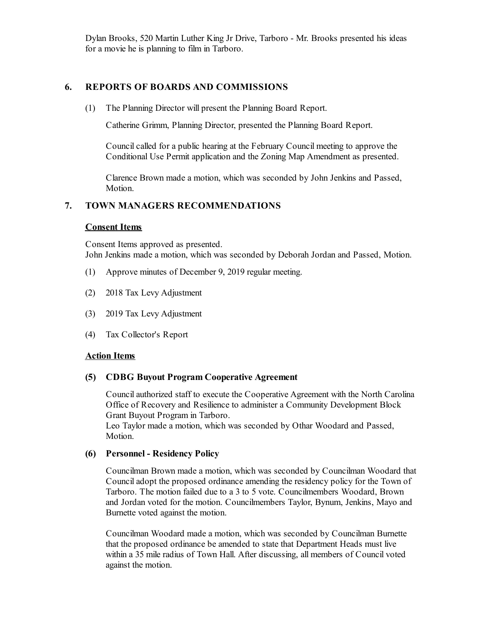Dylan Brooks, 520 Martin Luther King Jr Drive, Tarboro - Mr. Brooks presented his ideas for a movie he is planning to film in Tarboro.

# **6. REPORTS OF BOARDS AND COMMISSIONS**

(1) The Planning Director will present the Planning Board Report.

Catherine Grimm, Planning Director, presented the Planning Board Report.

Council called for a public hearing at the February Council meeting to approve the Conditional Use Permit application and the Zoning Map Amendment as presented.

Clarence Brown made a motion, which was seconded by John Jenkins and Passed, Motion.

# **7. TOWN MANAGERS RECOMMENDATIONS**

### **Consent Items**

Consent Items approved as presented. John Jenkins made a motion, which was seconded by Deborah Jordan and Passed, Motion.

- (1) Approve minutes of December 9, 2019 regular meeting.
- (2) 2018 Tax Levy Adjustment
- (3) 2019 Tax Levy Adjustment
- (4) Tax Collector's Report

#### **Action Items**

## **(5) CDBG Buyout Program Cooperative Agreement**

Councilauthorized staff to execute the Cooperative Agreement with the North Carolina Office of Recovery and Resilience to administer a Community Development Block Grant Buyout Program in Tarboro.

Leo Taylor made a motion, which was seconded by Othar Woodard and Passed, Motion.

## **(6) Personnel - Residency Policy**

Councilman Brown made a motion, which was seconded by Councilman Woodard that Counciladopt the proposed ordinance amending the residency policy for the Town of Tarboro. The motion failed due to a 3 to 5 vote. Councilmembers Woodard, Brown and Jordan voted for the motion. Councilmembers Taylor, Bynum, Jenkins, Mayo and Burnette voted against the motion.

Councilman Woodard made a motion, which was seconded by Councilman Burnette that the proposed ordinance be amended to state that Department Heads must live within a 35 mile radius of Town Hall. After discussing, all members of Council voted against the motion.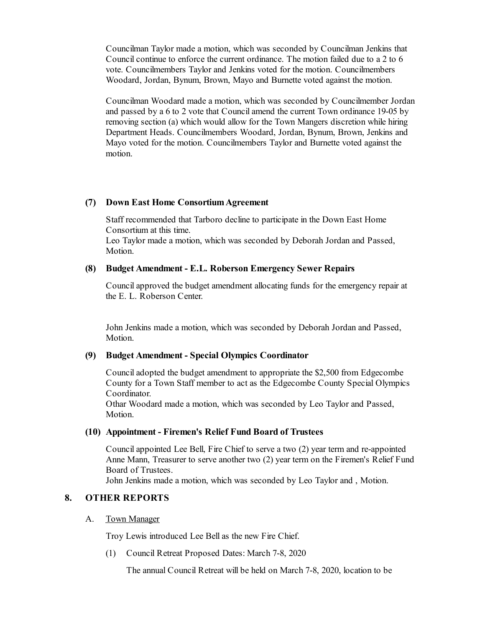Councilman Taylor made a motion, which was seconded by Councilman Jenkins that Council continue to enforce the current ordinance. The motion failed due to a 2 to 6 vote. Councilmembers Taylor and Jenkins voted for the motion. Councilmembers Woodard, Jordan, Bynum, Brown, Mayo and Burnette voted against the motion.

Councilman Woodard made a motion, which was seconded by Councilmember Jordan and passed by a 6 to 2 vote that Councilamend the current Town ordinance 19-05 by removing section (a) which would allow for the Town Mangers discretion while hiring Department Heads. Councilmembers Woodard, Jordan, Bynum, Brown, Jenkins and Mayo voted for the motion. Councilmembers Taylor and Burnette voted against the motion.

#### **(7) Down East Home ConsortiumAgreement**

Staff recommended that Tarboro decline to participate in the Down East Home Consortium at this time.

Leo Taylor made a motion, which was seconded by Deborah Jordan and Passed, Motion.

### **(8) Budget Amendment - E.L. Roberson Emergency Sewer Repairs**

Councilapproved the budget amendment allocating funds for the emergency repair at the E. L. Roberson Center.

John Jenkins made a motion, which was seconded by Deborah Jordan and Passed, Motion.

#### **(9) Budget Amendment - Special Olympics Coordinator**

Counciladopted the budget amendment to appropriate the \$2,500 from Edgecombe County for a Town Staff member to act as the Edgecombe County Special Olympics Coordinator.

Othar Woodard made a motion, which was seconded by Leo Taylor and Passed, Motion.

#### **(10) Appointment - Firemen's Relief Fund Board of Trustees**

Councilappointed Lee Bell, Fire Chief to serve a two (2) year term and re-appointed Anne Mann, Treasurer to serve another two (2) year term on the Firemen's Relief Fund Board of Trustees.

John Jenkins made a motion, which was seconded by Leo Taylor and , Motion.

## **8. OTHER REPORTS**

#### A. Town Manager

Troy Lewis introduced Lee Bellas the new Fire Chief.

(1) Council Retreat Proposed Dates: March 7-8, 2020

The annual Council Retreat will be held on March 7-8, 2020, location to be